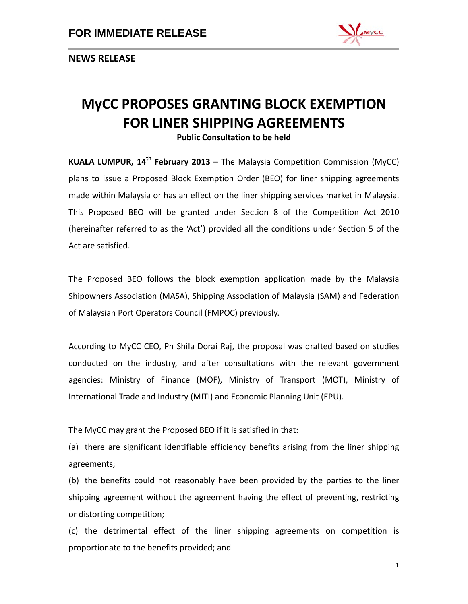

**NEWS RELEASE**

# **MyCC PROPOSES GRANTING BLOCK EXEMPTION FOR LINER SHIPPING AGREEMENTS**

**Public Consultation to be held**

**KUALA LUMPUR, 14th February 2013** – The Malaysia Competition Commission (MyCC) plans to issue a Proposed Block Exemption Order (BEO) for liner shipping agreements made within Malaysia or has an effect on the liner shipping services market in Malaysia. This Proposed BEO will be granted under Section 8 of the Competition Act 2010 (hereinafter referred to as the 'Act') provided all the conditions under Section 5 of the Act are satisfied.

The Proposed BEO follows the block exemption application made by the Malaysia Shipowners Association (MASA), Shipping Association of Malaysia (SAM) and Federation of Malaysian Port Operators Council (FMPOC) previously.

According to MyCC CEO, Pn Shila Dorai Raj, the proposal was drafted based on studies conducted on the industry, and after consultations with the relevant government agencies: Ministry of Finance (MOF), Ministry of Transport (MOT), Ministry of International Trade and Industry (MITI) and Economic Planning Unit (EPU).

The MyCC may grant the Proposed BEO if it is satisfied in that:

(a) there are significant identifiable efficiency benefits arising from the liner shipping agreements;

(b) the benefits could not reasonably have been provided by the parties to the liner shipping agreement without the agreement having the effect of preventing, restricting or distorting competition;

(c) the detrimental effect of the liner shipping agreements on competition is proportionate to the benefits provided; and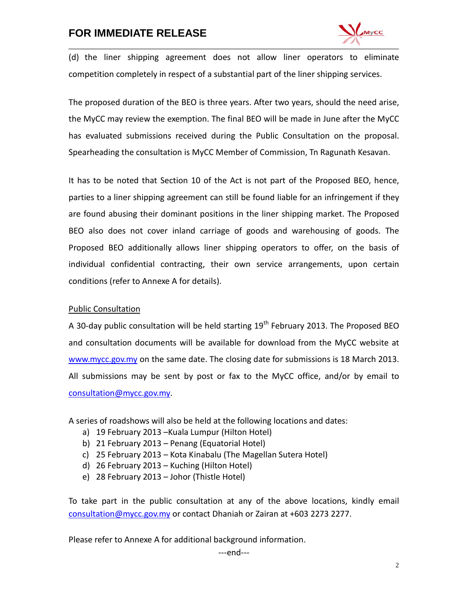# **FOR IMMEDIATE RELEASE**



(d) the liner shipping agreement does not allow liner operators to eliminate competition completely in respect of a substantial part of the liner shipping services.

The proposed duration of the BEO is three years. After two years, should the need arise, the MyCC may review the exemption. The final BEO will be made in June after the MyCC has evaluated submissions received during the Public Consultation on the proposal. Spearheading the consultation is MyCC Member of Commission, Tn Ragunath Kesavan.

It has to be noted that Section 10 of the Act is not part of the Proposed BEO, hence, parties to a liner shipping agreement can still be found liable for an infringement if they are found abusing their dominant positions in the liner shipping market. The Proposed BEO also does not cover inland carriage of goods and warehousing of goods. The Proposed BEO additionally allows liner shipping operators to offer, on the basis of individual confidential contracting, their own service arrangements, upon certain conditions (refer to Annexe A for details).

#### Public Consultation

A 30-day public consultation will be held starting  $19<sup>th</sup>$  February 2013. The Proposed BEO and consultation documents will be available for download from the MyCC website at [www.mycc.gov.my](http://www.mycc.gov.my/) on the same date. The closing date for submissions is 18 March 2013. All submissions may be sent by post or fax to the MyCC office, and/or by email to [consultation@mycc.gov.my.](mailto:consultation@mycc.gov.my)

A series of roadshows will also be held at the following locations and dates:

- a) 19 February 2013 –Kuala Lumpur (Hilton Hotel)
- b) 21 February 2013 Penang (Equatorial Hotel)
- c) 25 February 2013 Kota Kinabalu (The Magellan Sutera Hotel)
- d) 26 February 2013 Kuching (Hilton Hotel)
- e) 28 February 2013 Johor (Thistle Hotel)

To take part in the public consultation at any of the above locations, kindly email [consultation@mycc.gov.my](mailto:consultation@mycc.gov.my) or contact Dhaniah or Zairan at +603 2273 2277.

Please refer to Annexe A for additional background information.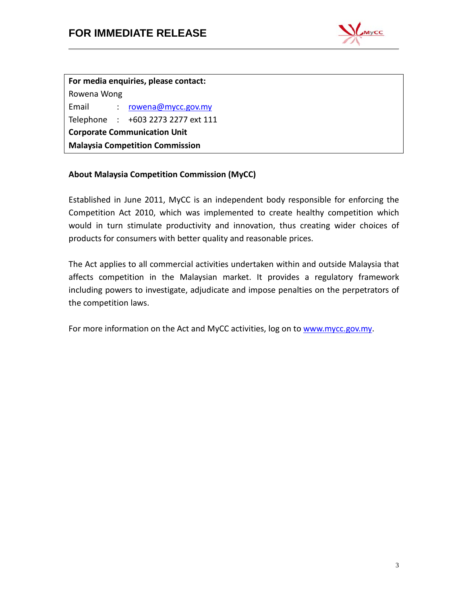

**For media enquiries, please contact:** Rowena Wong Email : [rowena@mycc.gov.my](mailto:rowena@mycc.gov.my) Telephone : +603 2273 2277 ext 111 **Corporate Communication Unit Malaysia Competition Commission**

# **About Malaysia Competition Commission (MyCC)**

Established in June 2011, MyCC is an independent body responsible for enforcing the Competition Act 2010, which was implemented to create healthy competition which would in turn stimulate productivity and innovation, thus creating wider choices of products for consumers with better quality and reasonable prices.

The Act applies to all commercial activities undertaken within and outside Malaysia that affects competition in the Malaysian market. It provides a regulatory framework including powers to investigate, adjudicate and impose penalties on the perpetrators of the competition laws.

For more information on the Act and MyCC activities, log on to [www.mycc.gov.my.](http://www.mycc.gov.my/)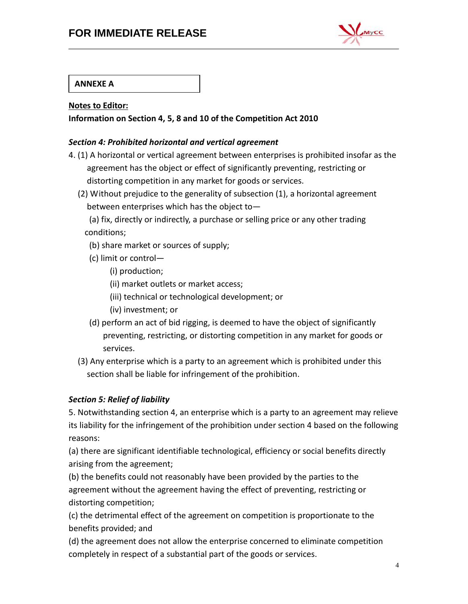# **FOR IMMEDIATE RELEASE**



## **ANNEXE A**

#### **Notes to Editor:**

#### **Information on Section 4, 5, 8 and 10 of the Competition Act 2010**

#### *Section 4: Prohibited horizontal and vertical agreement*

- 4. (1) A horizontal or vertical agreement between enterprises is prohibited insofar as the agreement has the object or effect of significantly preventing, restricting or distorting competition in any market for goods or services.
	- (2) Without prejudice to the generality of subsection (1), a horizontal agreement between enterprises which has the object to—

(a) fix, directly or indirectly, a purchase or selling price or any other trading conditions;

- (b) share market or sources of supply;
- (c) limit or control—
	- (i) production;
	- (ii) market outlets or market access;
	- (iii) technical or technological development; or
	- (iv) investment; or
- (d) perform an act of bid rigging, is deemed to have the object of significantly preventing, restricting, or distorting competition in any market for goods or services.
- (3) Any enterprise which is a party to an agreement which is prohibited under this section shall be liable for infringement of the prohibition.

#### *Section 5: Relief of liability*

5. Notwithstanding section 4, an enterprise which is a party to an agreement may relieve its liability for the infringement of the prohibition under section 4 based on the following reasons:

(a) there are significant identifiable technological, efficiency or social benefits directly arising from the agreement;

(b) the benefits could not reasonably have been provided by the parties to the agreement without the agreement having the effect of preventing, restricting or distorting competition;

(c) the detrimental effect of the agreement on competition is proportionate to the benefits provided; and

(d) the agreement does not allow the enterprise concerned to eliminate competition completely in respect of a substantial part of the goods or services.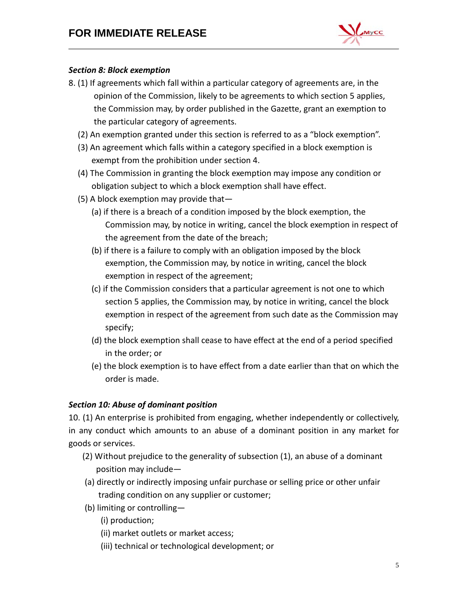

## *Section 8: Block exemption*

- 8. (1) If agreements which fall within a particular category of agreements are, in the opinion of the Commission, likely to be agreements to which section 5 applies, the Commission may, by order published in the Gazette, grant an exemption to the particular category of agreements.
	- (2) An exemption granted under this section is referred to as a "block exemption".
	- (3) An agreement which falls within a category specified in a block exemption is exempt from the prohibition under section 4.
	- (4) The Commission in granting the block exemption may impose any condition or obligation subject to which a block exemption shall have effect.
	- (5) A block exemption may provide that—
		- (a) if there is a breach of a condition imposed by the block exemption, the Commission may, by notice in writing, cancel the block exemption in respect of the agreement from the date of the breach;
		- (b) if there is a failure to comply with an obligation imposed by the block exemption, the Commission may, by notice in writing, cancel the block exemption in respect of the agreement;
		- (c) if the Commission considers that a particular agreement is not one to which section 5 applies, the Commission may, by notice in writing, cancel the block exemption in respect of the agreement from such date as the Commission may specify;
		- (d) the block exemption shall cease to have effect at the end of a period specified in the order; or
		- (e) the block exemption is to have effect from a date earlier than that on which the order is made.

## *Section 10: Abuse of dominant position*

10. (1) An enterprise is prohibited from engaging, whether independently or collectively, in any conduct which amounts to an abuse of a dominant position in any market for goods or services.

- (2) Without prejudice to the generality of subsection (1), an abuse of a dominant position may include—
- (a) directly or indirectly imposing unfair purchase or selling price or other unfair trading condition on any supplier or customer;
- (b) limiting or controlling—
	- (i) production;
	- (ii) market outlets or market access;
	- (iii) technical or technological development; or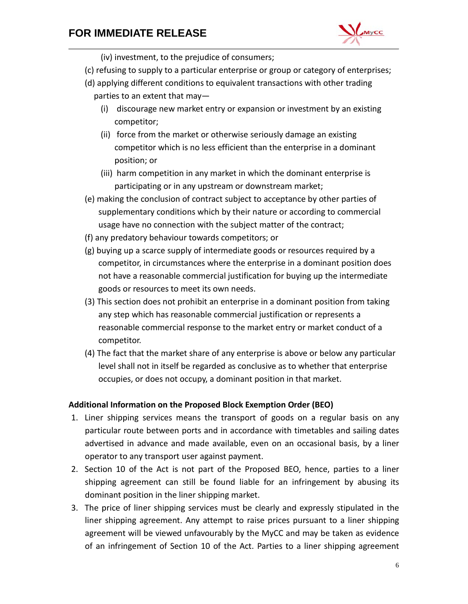# **FOR IMMEDIATE RELEASE**



- (iv) investment, to the prejudice of consumers;
- (c) refusing to supply to a particular enterprise or group or category of enterprises;
- (d) applying different conditions to equivalent transactions with other trading parties to an extent that may—
	- (i) discourage new market entry or expansion or investment by an existing competitor;
	- (ii) force from the market or otherwise seriously damage an existing competitor which is no less efficient than the enterprise in a dominant position; or
	- (iii) harm competition in any market in which the dominant enterprise is participating or in any upstream or downstream market;
- (e) making the conclusion of contract subject to acceptance by other parties of supplementary conditions which by their nature or according to commercial usage have no connection with the subject matter of the contract;
- (f) any predatory behaviour towards competitors; or
- (g) buying up a scarce supply of intermediate goods or resources required by a competitor, in circumstances where the enterprise in a dominant position does not have a reasonable commercial justification for buying up the intermediate goods or resources to meet its own needs.
- (3) This section does not prohibit an enterprise in a dominant position from taking any step which has reasonable commercial justification or represents a reasonable commercial response to the market entry or market conduct of a competitor.
- (4) The fact that the market share of any enterprise is above or below any particular level shall not in itself be regarded as conclusive as to whether that enterprise occupies, or does not occupy, a dominant position in that market.

#### **Additional Information on the Proposed Block Exemption Order (BEO)**

- 1. Liner shipping services means the transport of goods on a regular basis on any particular route between ports and in accordance with timetables and sailing dates advertised in advance and made available, even on an occasional basis, by a liner operator to any transport user against payment.
- 2. Section 10 of the Act is not part of the Proposed BEO, hence, parties to a liner shipping agreement can still be found liable for an infringement by abusing its dominant position in the liner shipping market.
- 3. The price of liner shipping services must be clearly and expressly stipulated in the liner shipping agreement. Any attempt to raise prices pursuant to a liner shipping agreement will be viewed unfavourably by the MyCC and may be taken as evidence of an infringement of Section 10 of the Act. Parties to a liner shipping agreement